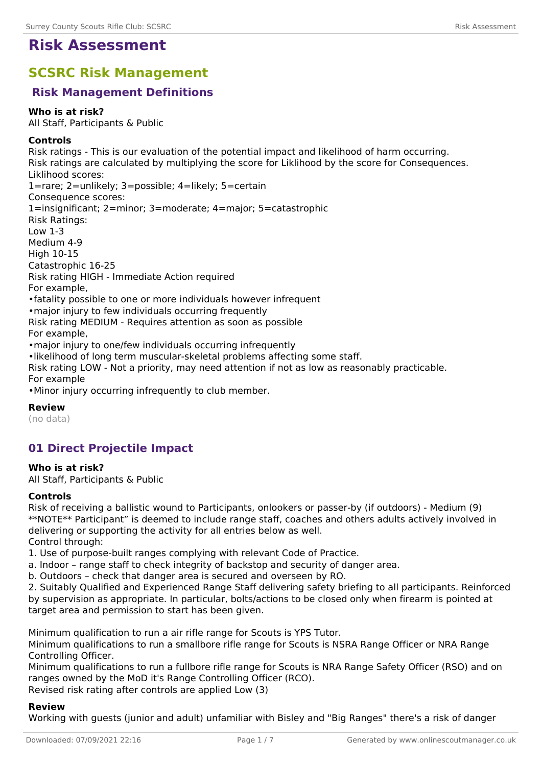# **Risk Assessment**

# **SCSRC Risk Management**

# **Risk Management Definitions**

#### **Who is at risk?**

All Staff, Participants & Public

#### **Controls**

Risk ratings - This is our evaluation of the potential impact and likelihood of harm occurring. Risk ratings are calculated by multiplying the score for Liklihood by the score for Consequences. Liklihood scores: 1=rare; 2=unlikely; 3=possible; 4=likely; 5=certain Consequence scores: 1=insignificant; 2=minor; 3=moderate; 4=major; 5=catastrophic Risk Ratings: Low 1-3 Medium 4-9 High 10-15 Catastrophic 16-25 Risk rating HIGH - Immediate Action required For example, •fatality possible to one or more individuals however infrequent •major injury to few individuals occurring frequently Risk rating MEDIUM - Requires attention as soon as possible For example, •major injury to one/few individuals occurring infrequently •likelihood of long term muscular-skeletal problems affecting some staff. Risk rating LOW - Not a priority, may need attention if not as low as reasonably practicable. For example

•Minor injury occurring infrequently to club member.

**Review** (no data)

# **01 Direct Projectile Impact**

### **Who is at risk?**

All Staff, Participants & Public

### **Controls**

Risk of receiving a ballistic wound to Participants, onlookers or passer-by (if outdoors) - Medium (9) \*\*NOTE\*\* Participant" is deemed to include range staff, coaches and others adults actively involved in delivering or supporting the activity for all entries below as well. Control through:

1. Use of purpose-built ranges complying with relevant Code of Practice.

- a. Indoor range staff to check integrity of backstop and security of danger area.
- b. Outdoors check that danger area is secured and overseen by RO.

2. Suitably Qualified and Experienced Range Staff delivering safety briefing to all participants. Reinforced by supervision as appropriate. In particular, bolts/actions to be closed only when firearm is pointed at target area and permission to start has been given.

Minimum qualification to run a air rifle range for Scouts is YPS Tutor.

Minimum qualifications to run a smallbore rifle range for Scouts is NSRA Range Officer or NRA Range Controlling Officer.

Minimum qualifications to run a fullbore rifle range for Scouts is NRA Range Safety Officer (RSO) and on ranges owned by the MoD it's Range Controlling Officer (RCO). Revised risk rating after controls are applied Low (3)

**Review**

Working with guests (junior and adult) unfamiliar with Bisley and "Big Ranges" there's a risk of danger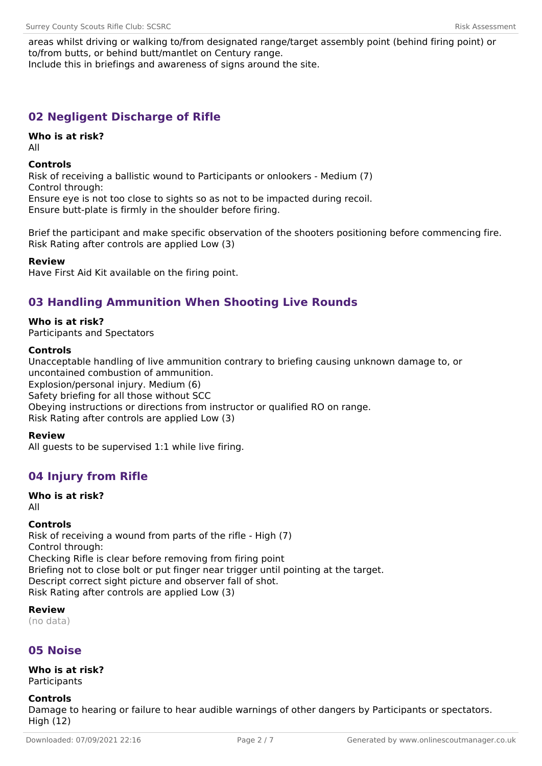areas whilst driving or walking to/from designated range/target assembly point (behind firing point) or to/from butts, or behind butt/mantlet on Century range. Include this in briefings and awareness of signs around the site.

# **02 Negligent Discharge of Rifle**

### **Who is at risk?**

All

### **Controls**

Risk of receiving a ballistic wound to Participants or onlookers - Medium (7) Control through: Ensure eye is not too close to sights so as not to be impacted during recoil.

Ensure butt-plate is firmly in the shoulder before firing.

Brief the participant and make specific observation of the shooters positioning before commencing fire. Risk Rating after controls are applied Low (3)

### **Review**

Have First Aid Kit available on the firing point.

# **03 Handling Ammunition When Shooting Live Rounds**

**Who is at risk?** Participants and Spectators

### **Controls**

Unacceptable handling of live ammunition contrary to briefing causing unknown damage to, or uncontained combustion of ammunition. Explosion/personal injury. Medium (6) Safety briefing for all those without SCC Obeying instructions or directions from instructor or qualified RO on range. Risk Rating after controls are applied Low (3)

### **Review**

All guests to be supervised 1:1 while live firing.

# **04 Injury from Rifle**

#### **Who is at risk?** All

### **Controls**

Risk of receiving a wound from parts of the rifle - High (7) Control through: Checking Rifle is clear before removing from firing point Briefing not to close bolt or put finger near trigger until pointing at the target. Descript correct sight picture and observer fall of shot. Risk Rating after controls are applied Low (3)

**Review** (no data)

# **05 Noise**

**Who is at risk? Participants** 

### **Controls**

Damage to hearing or failure to hear audible warnings of other dangers by Participants or spectators. High (12)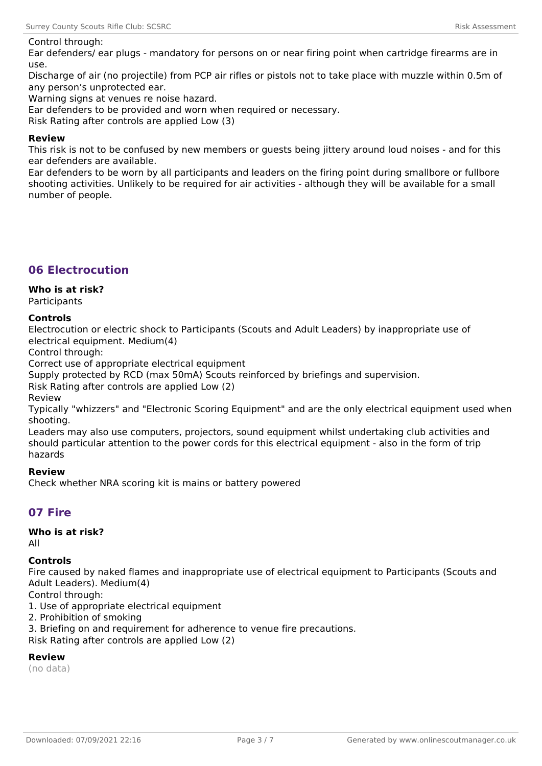#### Control through:

Ear defenders/ ear plugs - mandatory for persons on or near firing point when cartridge firearms are in use.

Discharge of air (no projectile) from PCP air rifles or pistols not to take place with muzzle within 0.5m of any person's unprotected ear.

Warning signs at venues re noise hazard.

Ear defenders to be provided and worn when required or necessary.

Risk Rating after controls are applied Low (3)

#### **Review**

This risk is not to be confused by new members or guests being jittery around loud noises - and for this ear defenders are available.

Ear defenders to be worn by all participants and leaders on the firing point during smallbore or fullbore shooting activities. Unlikely to be required for air activities - although they will be available for a small number of people.

# **06 Electrocution**

### **Who is at risk?**

**Participants** 

#### **Controls**

Electrocution or electric shock to Participants (Scouts and Adult Leaders) by inappropriate use of electrical equipment. Medium(4)

Control through:

Correct use of appropriate electrical equipment

Supply protected by RCD (max 50mA) Scouts reinforced by briefings and supervision.

Risk Rating after controls are applied Low (2)

Review

Typically "whizzers" and "Electronic Scoring Equipment" and are the only electrical equipment used when shooting.

Leaders may also use computers, projectors, sound equipment whilst undertaking club activities and should particular attention to the power cords for this electrical equipment - also in the form of trip hazards

#### **Review**

Check whether NRA scoring kit is mains or battery powered

# **07 Fire**

# **Who is at risk?**

All

#### **Controls**

Fire caused by naked flames and inappropriate use of electrical equipment to Participants (Scouts and Adult Leaders). Medium(4)

Control through:

1. Use of appropriate electrical equipment

2. Prohibition of smoking

3. Briefing on and requirement for adherence to venue fire precautions.

Risk Rating after controls are applied Low (2)

### **Review**

(no data)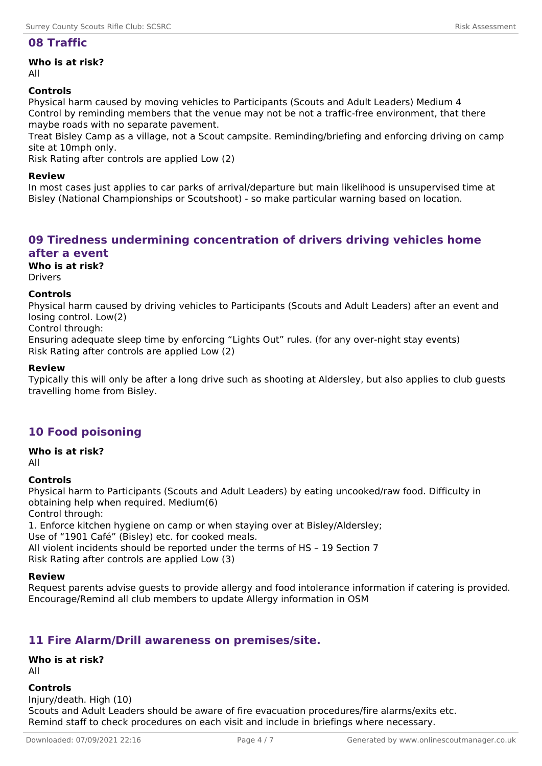### **08 Traffic**

**Who is at risk?**

All

### **Controls**

Physical harm caused by moving vehicles to Participants (Scouts and Adult Leaders) Medium 4 Control by reminding members that the venue may not be not a traffic-free environment, that there maybe roads with no separate pavement.

Treat Bisley Camp as a village, not a Scout campsite. Reminding/briefing and enforcing driving on camp site at 10mph only.

Risk Rating after controls are applied Low (2)

#### **Review**

In most cases just applies to car parks of arrival/departure but main likelihood is unsupervised time at Bisley (National Championships or Scoutshoot) - so make particular warning based on location.

# **09 Tiredness undermining concentration of drivers driving vehicles home after a event**

**Who is at risk?**

Drivers

#### **Controls**

Physical harm caused by driving vehicles to Participants (Scouts and Adult Leaders) after an event and losing control. Low(2)

Control through:

Ensuring adequate sleep time by enforcing "Lights Out" rules. (for any over-night stay events) Risk Rating after controls are applied Low (2)

#### **Review**

Typically this will only be after a long drive such as shooting at Aldersley, but also applies to club guests travelling home from Bisley.

# **10 Food poisoning**

**Who is at risk?**

All

### **Controls**

Physical harm to Participants (Scouts and Adult Leaders) by eating uncooked/raw food. Difficulty in obtaining help when required. Medium(6) Control through:

1. Enforce kitchen hygiene on camp or when staying over at Bisley/Aldersley; Use of "1901 Café" (Bisley) etc. for cooked meals. All violent incidents should be reported under the terms of HS – 19 Section 7 Risk Rating after controls are applied Low (3)

#### **Review**

Request parents advise guests to provide allergy and food intolerance information if catering is provided. Encourage/Remind all club members to update Allergy information in OSM

# **11 Fire Alarm/Drill awareness on premises/site.**

**Who is at risk?** All

# **Controls**

Injury/death. High (10) Scouts and Adult Leaders should be aware of fire evacuation procedures/fire alarms/exits etc. Remind staff to check procedures on each visit and include in briefings where necessary.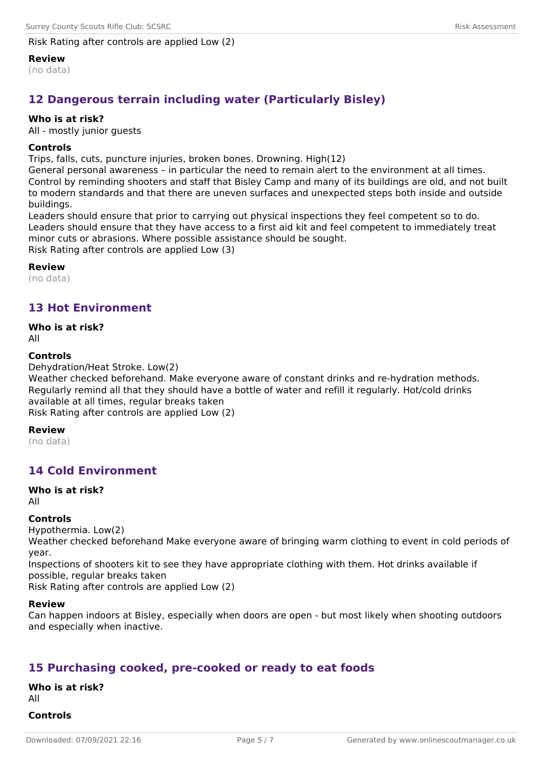### Risk Rating after controls are applied Low (2)

**Review**

(no data)

# **12 Dangerous terrain including water (Particularly Bisley)**

#### **Who is at risk?**

All - mostly junior guests

#### **Controls**

Trips, falls, cuts, puncture injuries, broken bones. Drowning. High(12)

General personal awareness – in particular the need to remain alert to the environment at all times. Control by reminding shooters and staff that Bisley Camp and many of its buildings are old, and not built to modern standards and that there are uneven surfaces and unexpected steps both inside and outside buildings.

Leaders should ensure that prior to carrying out physical inspections they feel competent so to do. Leaders should ensure that they have access to a first aid kit and feel competent to immediately treat minor cuts or abrasions. Where possible assistance should be sought. Risk Rating after controls are applied Low (3)

**Review**

(no data)

# **13 Hot Environment**

#### **Who is at risk?**

All

#### **Controls**

Dehydration/Heat Stroke. Low(2)

Weather checked beforehand. Make everyone aware of constant drinks and re-hydration methods. Regularly remind all that they should have a bottle of water and refill it regularly. Hot/cold drinks available at all times, regular breaks taken

Risk Rating after controls are applied Low (2)

#### **Review**

(no data)

# **14 Cold Environment**

#### **Who is at risk?**

All

#### **Controls**

Hypothermia. Low(2)

Weather checked beforehand Make everyone aware of bringing warm clothing to event in cold periods of year.

Inspections of shooters kit to see they have appropriate clothing with them. Hot drinks available if possible, regular breaks taken

Risk Rating after controls are applied Low (2)

#### **Review**

Can happen indoors at Bisley, especially when doors are open - but most likely when shooting outdoors and especially when inactive.

# **15 Purchasing cooked, pre-cooked or ready to eat foods**

**Who is at risk?** All **Controls**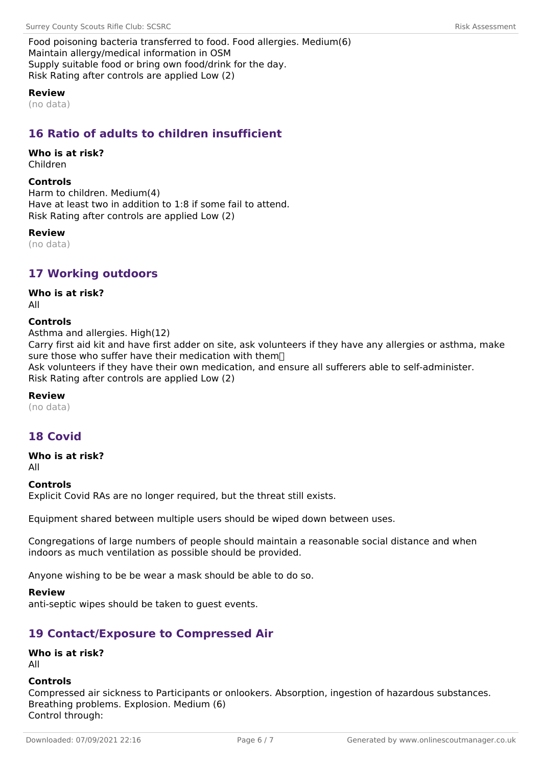Food poisoning bacteria transferred to food. Food allergies. Medium(6) Maintain allergy/medical information in OSM Supply suitable food or bring own food/drink for the day. Risk Rating after controls are applied Low (2)

#### **Review**

(no data)

# **16 Ratio of adults to children insufficient**

# **Who is at risk?**

Children

#### **Controls**

Harm to children. Medium(4) Have at least two in addition to 1:8 if some fail to attend. Risk Rating after controls are applied Low (2)

#### **Review**

(no data)

### **17 Working outdoors**

#### **Who is at risk?**

All

#### **Controls**

Asthma and allergies. High(12) Carry first aid kit and have first adder on site, ask volunteers if they have any allergies or asthma, make sure those who suffer have their medication with them<sup>[]</sup> Ask volunteers if they have their own medication, and ensure all sufferers able to self-administer. Risk Rating after controls are applied Low (2)

#### **Review**

(no data)

# **18 Covid**

**Who is at risk?**

All

#### **Controls**

Explicit Covid RAs are no longer required, but the threat still exists.

Equipment shared between multiple users should be wiped down between uses.

Congregations of large numbers of people should maintain a reasonable social distance and when indoors as much ventilation as possible should be provided.

Anyone wishing to be be wear a mask should be able to do so.

#### **Review**

anti-septic wipes should be taken to guest events.

# **19 Contact/Exposure to Compressed Air**

### **Who is at risk?**

All

#### **Controls**

Compressed air sickness to Participants or onlookers. Absorption, ingestion of hazardous substances. Breathing problems. Explosion. Medium (6) Control through: